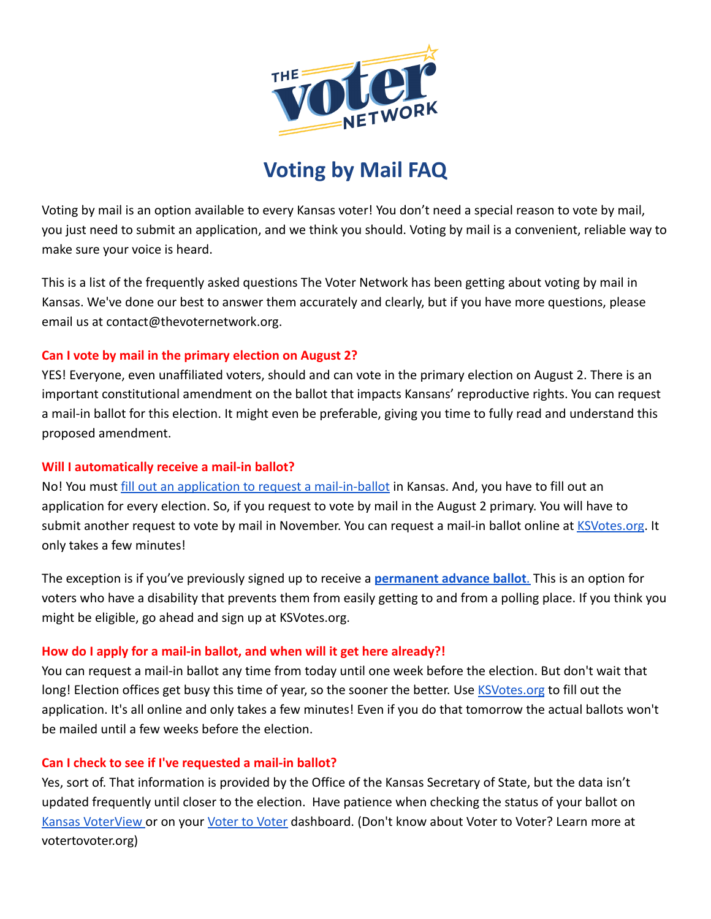

# **Voting by Mail FAQ**

Voting by mail is an option available to every Kansas voter! You don't need a special reason to vote by mail, you just need to submit an application, and we think you should. Voting by mail is a convenient, reliable way to make sure your voice is heard.

This is a list of the frequently asked questions The Voter Network has been getting about voting by mail in Kansas. We've done our best to answer them accurately and clearly, but if you have more questions, please email us at contact@thevoternetwork.org.

# **Can I vote by mail in the primary election on August 2?**

YES! Everyone, even unaffiliated voters, should and can vote in the primary election on August 2. There is an important constitutional amendment on the ballot that impacts Kansans' reproductive rights. You can request a mail-in ballot for this election. It might even be preferable, giving you time to fully read and understand this proposed amendment.

## **Will I automatically receive a mail-in ballot?**

No! You must [fill out an application to request a](http://ksvotes.org) mail-in-ballot in Kansas. And, you have to fill out an application for every election. So, if you request to vote by mail in the August 2 primary. You will have to submit another request to vote by mail in November. You can request a mail-in ballot online at [KSVotes.org](http://www.ksvotes.org). It only takes a few minutes!

The exception is if you've previously signed up to receive a **[permanent advance ballot](https://kcdcinfo.ks.gov/voter-registration-and-advanced-voting)**. This is an option for voters who have a disability that prevents them from easily getting to and from a polling place. If you think you might be eligible, go ahead and sign up at KSVotes.org.

# **How do I apply for a mail-in ballot, and when will it get here already?!**

You can request a mail-in ballot any time from today until one week before the election. But don't wait that long! Election offices get busy this time of year, so the sooner the better. Use [KSVotes.org](http://ksvotes.org) to fill out the application. It's all online and only takes a few minutes! Even if you do that tomorrow the actual ballots won't be mailed until a few weeks before the election.

# **Can I check to see if I've requested a mail-in ballot?**

Yes, sort of. That information is provided by the Office of the Kansas Secretary of State, but the data isn't updated frequently until closer to the election. Have patience when checking the status of your ballot o[n](https://myvoteinfo.voteks.org/voterview) [Kansas VoterView](https://myvoteinfo.voteks.org/voterview) or on your [Voter to Voter](http://votertovoter.org) dashboard. (Don't know about Voter to Voter? Learn more at votertovoter.org)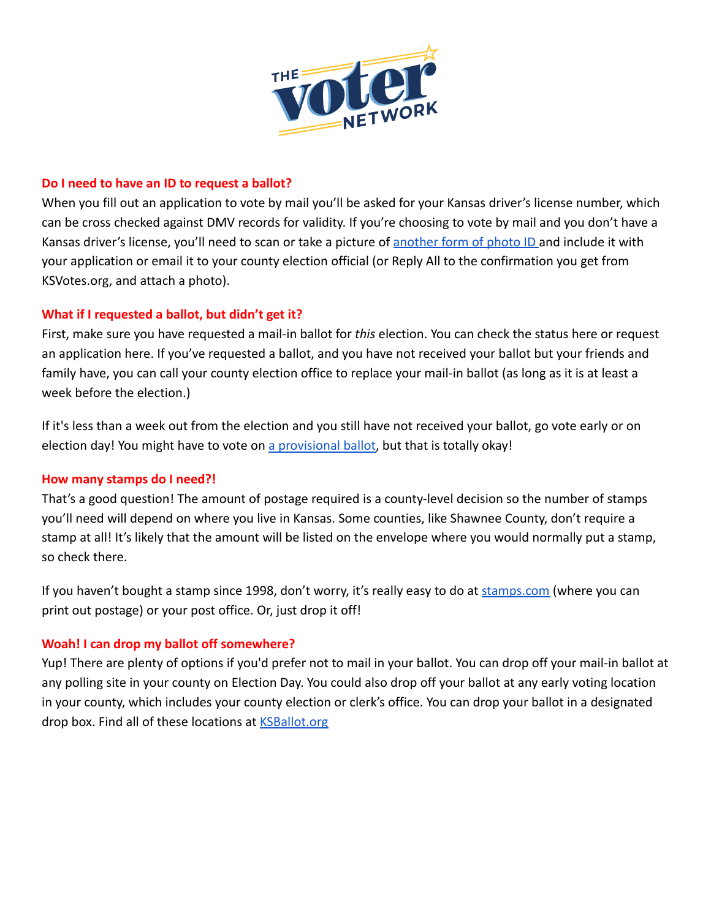

## **Do I need to have an ID to request a ballot?**

When you fill out an application to vote by mail you'll be asked for your Kansas driver's license number, which can be cross checked against DMV records for validity. If you're choosing to vote by mail and you don't have a Kansas driver's license, you'll need to scan or take a picture of [another form of photo ID](https://www.sos.ks.gov/elections/photo-id.html) and include it with your application or email it to your county election official (or Reply All to the confirmation you get from KSVotes.org, and attach a photo).

# **What if I requested a ballot, but didn't get it?**

First, make sure you have requested a mail-in ballot for *this* election. You can check the status here or request an application here. If you've requested a ballot, and you have not received your ballot but your friends and family have, you can call your county election office to replace your mail-in ballot (as long as it is at least a week before the election.)

If it's less than a week out from the election and you still have not received your ballot, go vote early or on election day! You might have to vote on [a provisional](https://www.sos.ks.gov/forms/elections/A_Guide_to_Provisional_Voting.pdf) ballot, but that is totally okay!

### **How many stamps do I need?!**

That's a good question! The amount of postage required is a county-level decision so the number of stamps you'll need will depend on where you live in Kansas. Some counties, like Shawnee County, don't require a stamp at all! It's likely that the amount will be listed on the envelope where you would normally put a stamp, so check there.

If you haven't bought a stamp since 1998, don't worry, it's really easy to do at [stamps.com](http://stamps.com) (where you can print out postage) or your post office. Or, just drop it off!

# **Woah! I can drop my ballot off somewhere?**

Yup! There are plenty of options if you'd prefer not to mail in your ballot. You can drop off your mail-in ballot at any polling site in your county on Election Day. You could also drop off your ballot at any early voting location in your county, which includes your county election or clerk's office. You can drop your ballot in a designated drop box. Find all of these locations at [KSBallot.org](http://ksballot.org)